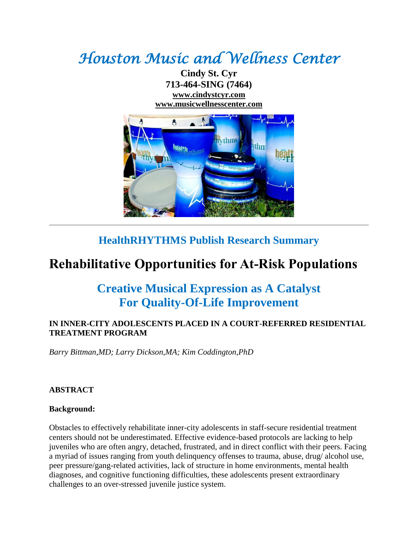# *Houston Music and Wellness Center*

**Cindy St. Cyr 713-464-SING (7464) [www.cindystcyr.com](http://www.cindystcyr.com/) [www.musicwellnesscenter.com](http://www.musicwellnesscenter.com/)**



### **HealthRHYTHMS Publish Research Summary**

## **Rehabilitative Opportunities for At-Risk Populations**

## **Creative Musical Expression as A Catalyst For Quality-Of-Life Improvement**

#### **IN INNER-CITY ADOLESCENTS PLACED IN A COURT-REFERRED RESIDENTIAL TREATMENT PROGRAM**

*Barry Bittman,MD; Larry Dickson,MA; Kim Coddington,PhD*

#### **ABSTRACT**

#### **Background:**

Obstacles to effectively rehabilitate inner-city adolescents in staff-secure residential treatment centers should not be underestimated. Effective evidence-based protocols are lacking to help juveniles who are often angry, detached, frustrated, and in direct conflict with their peers. Facing a myriad of issues ranging from youth delinquency offenses to trauma, abuse, drug/ alcohol use, peer pressure/gang-related activities, lack of structure in home environments, mental health diagnoses, and cognitive functioning difficulties, these adolescents present extraordinary challenges to an over-stressed juvenile justice system.